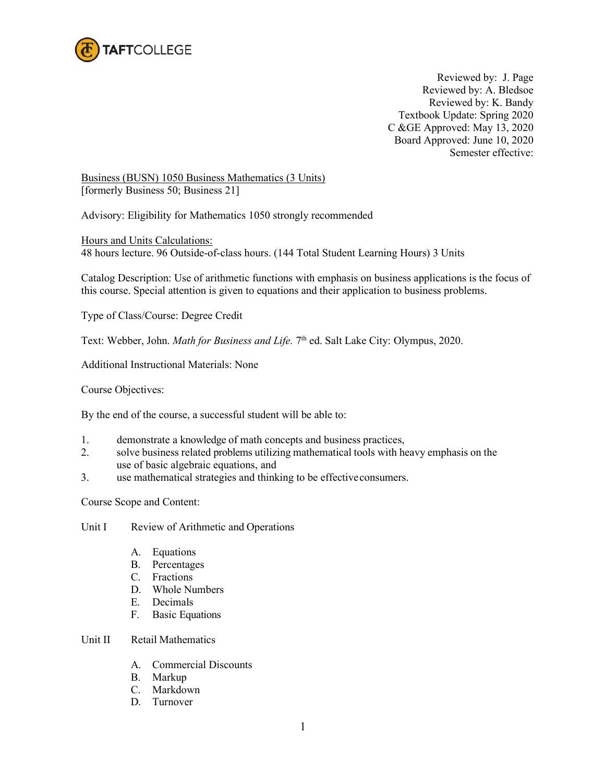

Reviewed by: J. Page Reviewed by: A. Bledsoe Reviewed by: K. Bandy Textbook Update: Spring 2020 C &GE Approved: May 13, 2020 Board Approved: June 10, 2020 Semester effective:

Business (BUSN) 1050 Business Mathematics (3 Units) [formerly Business 50; Business 21]

Advisory: Eligibility for Mathematics 1050 strongly recommended

Hours and Units Calculations: 48 hours lecture. 96 Outside-of-class hours. (144 Total Student Learning Hours) 3 Units

Catalog Description: Use of arithmetic functions with emphasis on business applications is the focus of this course. Special attention is given to equations and their application to business problems.

Type of Class/Course: Degree Credit

Text: Webber, John. *Math for Business and Life*. 7<sup>th</sup> ed. Salt Lake City: Olympus, 2020.

Additional Instructional Materials: None

Course Objectives:

By the end of the course, a successful student will be able to:

- 1. demonstrate a knowledge of math concepts and business practices,
- 2. solve business related problems utilizing mathematical tools with heavy emphasis on the use of basic algebraic equations, and
- 3. use mathematical strategies and thinking to be effectiveconsumers.

Course Scope and Content:

Unit I Review of Arithmetic and Operations

- A. Equations
- B. Percentages
- C. Fractions
- D. Whole Numbers
- E. Decimals
- F. Basic Equations

## Unit II Retail Mathematics

- A. Commercial Discounts
- B. Markup
- C. Markdown
- D. Turnover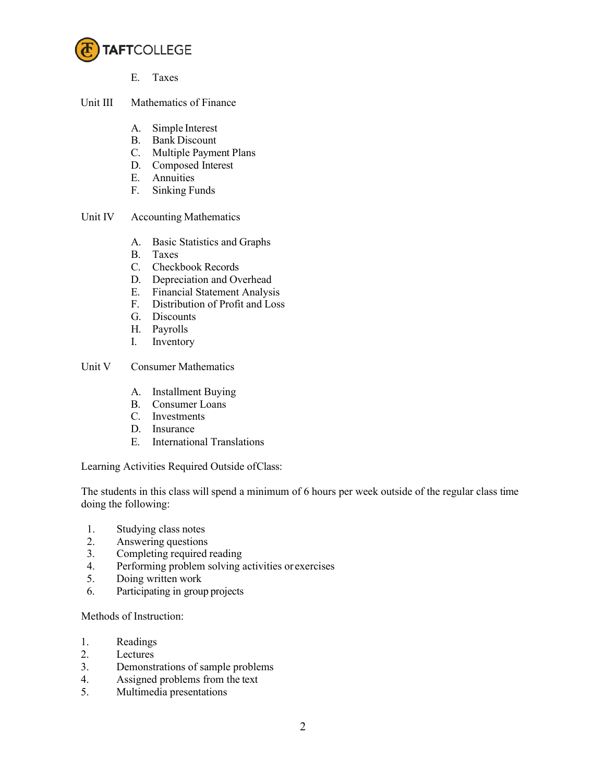

- E. Taxes
- Unit III Mathematics of Finance
	- A. Simple Interest
	- B. Bank Discount
	- C. Multiple Payment Plans
	- D. Composed Interest
	- E. Annuities
	- F. Sinking Funds
- Unit IV Accounting Mathematics
	- A. Basic Statistics and Graphs
	- B. Taxes
	- C. Checkbook Records
	- D. Depreciation and Overhead
	- E. Financial Statement Analysis
	- F. Distribution of Profit and Loss
	- G. Discounts
	- H. Payrolls
	- I. Inventory

## Unit V Consumer Mathematics

- A. Installment Buying
- B. Consumer Loans
- C. Investments
- D. Insurance
- E. International Translations

Learning Activities Required Outside ofClass:

The students in this class will spend a minimum of 6 hours per week outside of the regular class time doing the following:

- 1. Studying class notes
- 2. Answering questions
- 3. Completing required reading
- 4. Performing problem solving activities or exercises
- 5. Doing written work
- 6. Participating in group projects

Methods of Instruction:

- 1. Readings
- 2. Lectures
- 3. Demonstrations of sample problems
- 4. Assigned problems from the text
- 5. Multimedia presentations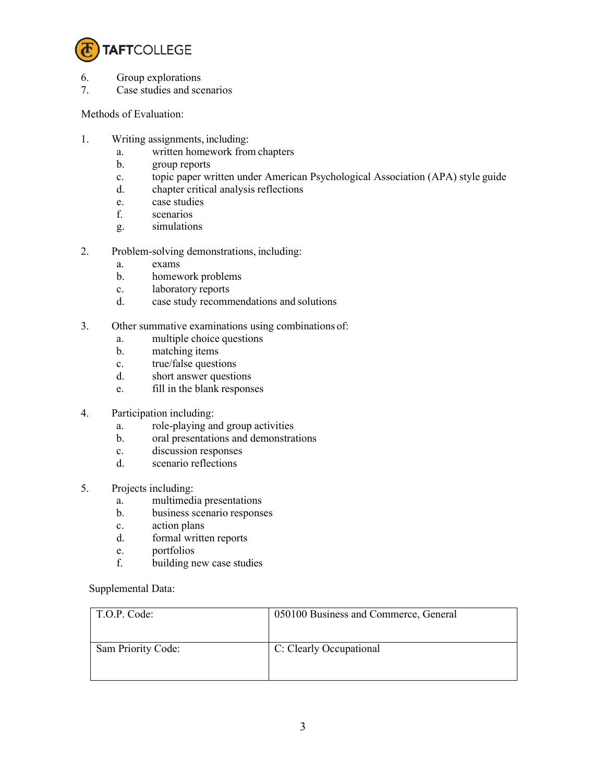

- 6. Group explorations
- 7. Case studies and scenarios

Methods of Evaluation:

- 1. Writing assignments, including:
	- a. written homework from chapters
	- b. group reports
	- c. topic paper written under American Psychological Association (APA) style guide
	- d. chapter critical analysis reflections
	- e. case studies
	- f. scenarios
	- g. simulations
- 2. Problem-solving demonstrations, including:
	- a. exams
	- b. homework problems
	- c. laboratory reports
	- d. case study recommendations and solutions
- 3. Other summative examinations using combinations of:
	- a. multiple choice questions
	- b. matching items
	- c. true/false questions
	- d. short answer questions
	- e. fill in the blank responses
- 4. Participation including:
	- a. role-playing and group activities
	- b. oral presentations and demonstrations
	- c. discussion responses
	- d. scenario reflections
- 5. Projects including:
	- a. multimedia presentations
	- b. business scenario responses
	- c. action plans
	- d. formal written reports
	- e. portfolios
	- f. building new case studies

## Supplemental Data:

| T.O.P. Code:       | 050100 Business and Commerce, General |
|--------------------|---------------------------------------|
| Sam Priority Code: | C: Clearly Occupational               |